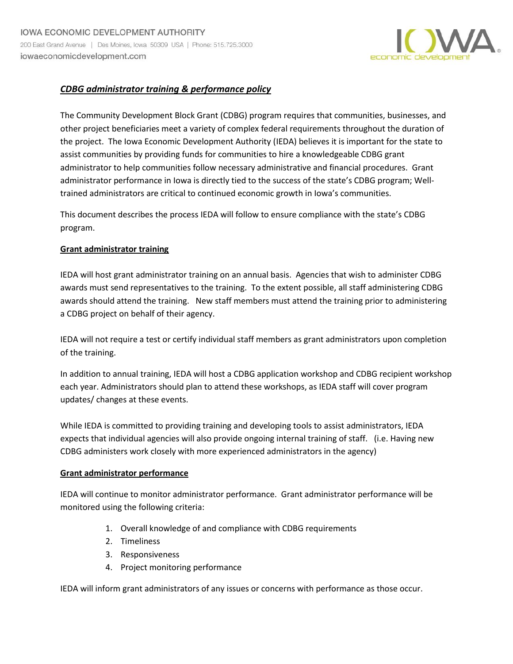

# *CDBG administrator training & performance policy*

The Community Development Block Grant (CDBG) program requires that communities, businesses, and other project beneficiaries meet a variety of complex federal requirements throughout the duration of the project. The Iowa Economic Development Authority (IEDA) believes it is important for the state to assist communities by providing funds for communities to hire a knowledgeable CDBG grant administrator to help communities follow necessary administrative and financial procedures. Grant administrator performance in Iowa is directly tied to the success of the state's CDBG program; Welltrained administrators are critical to continued economic growth in Iowa's communities.

This document describes the process IEDA will follow to ensure compliance with the state's CDBG program.

#### **Grant administrator training**

IEDA will host grant administrator training on an annual basis. Agencies that wish to administer CDBG awards must send representatives to the training. To the extent possible, all staff administering CDBG awards should attend the training. New staff members must attend the training prior to administering a CDBG project on behalf of their agency.

IEDA will not require a test or certify individual staff members as grant administrators upon completion of the training.

In addition to annual training, IEDA will host a CDBG application workshop and CDBG recipient workshop each year. Administrators should plan to attend these workshops, as IEDA staff will cover program updates/ changes at these events.

While IEDA is committed to providing training and developing tools to assist administrators, IEDA expects that individual agencies will also provide ongoing internal training of staff. (i.e. Having new CDBG administers work closely with more experienced administrators in the agency)

#### **Grant administrator performance**

IEDA will continue to monitor administrator performance. Grant administrator performance will be monitored using the following criteria:

- 1. Overall knowledge of and compliance with CDBG requirements
- 2. Timeliness
- 3. Responsiveness
- 4. Project monitoring performance

IEDA will inform grant administrators of any issues or concerns with performance as those occur.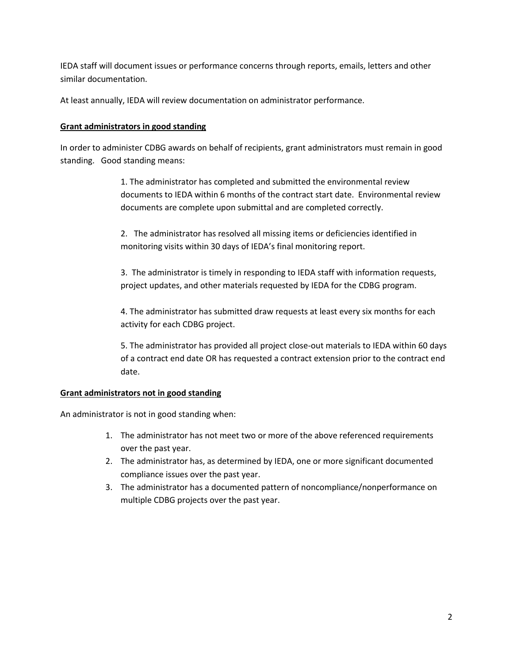IEDA staff will document issues or performance concerns through reports, emails, letters and other similar documentation.

At least annually, IEDA will review documentation on administrator performance.

#### **Grant administrators in good standing**

In order to administer CDBG awards on behalf of recipients, grant administrators must remain in good standing.Good standing means:

> 1. The administrator has completed and submitted the environmental review documents to IEDA within 6 months of the contract start date. Environmental review documents are complete upon submittal and are completed correctly.

2. The administrator has resolved all missing items or deficiencies identified in monitoring visits within 30 days of IEDA's final monitoring report.

3. The administrator is timely in responding to IEDA staff with information requests, project updates, and other materials requested by IEDA for the CDBG program.

4. The administrator has submitted draw requests at least every six months for each activity for each CDBG project.

5. The administrator has provided all project close-out materials to IEDA within 60 days of a contract end date OR has requested a contract extension prior to the contract end date.

## **Grant administrators not in good standing**

An administrator is not in good standing when:

- 1. The administrator has not meet two or more of the above referenced requirements over the past year.
- 2. The administrator has, as determined by IEDA, one or more significant documented compliance issues over the past year.
- 3. The administrator has a documented pattern of noncompliance/nonperformance on multiple CDBG projects over the past year.